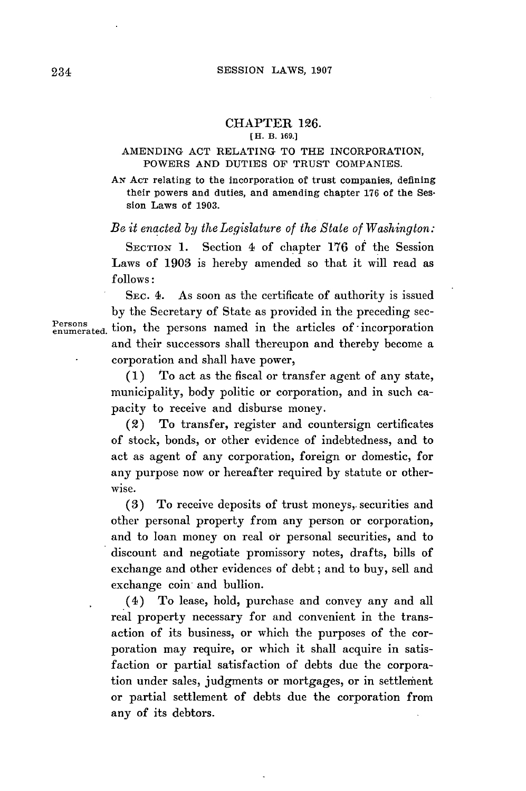# CHAPTER **126.**

### **[H.** B. **169.]**

## AMENDING **ACT** RELATING TO THE INCORPORATION, POWERS **AND** DUTIES OF TRUST COMPANIES.

**AN AcT** relating to the Incorporation of trust companies, defining their powers and duties, and amending chapter **176** of the Session Laws of **1903.**

*Be it enacted by the Legislature of the State of Washington:*

SECTION **1.** Section 4 of chapter **176** of the Session Laws of **1903** is hereby amended so that it will read as *follows:*

**SEC.** 4. As soon as the certificate of authority is issued **by** the Secretary of State as provided in the preceding sec-Persons enumerated. tion, the persons named in the articles of incorporation and their successors shall thereupon and thereby become a corporation and shall have power,

> **(1)** To act as the fiscal or transfer agent of any state, municipality, body politic or corporation, and in such capacity to receive and disburse money.

> (2) To transfer, register and countersign certificates of stock, bonds, or other evidence of indebtedness, and to act as agent of any corporation, foreign or domestic, for any purpose now or hereafter required **by** statute or other*wise.*

> **(3)** To receive deposits of trust moneys,. securities and other personal property from any person or corporation, and to loan money on real or personal securities, and to discount and negotiate promissory notes, drafts, bills of exchange and other evidences of debt; and to buy, sell and exchange coin and bullion.

> (4) To lease, hold, purchase and convey any and all real property necessary for and convenient in the transaction of its business, or which the purposes of the corporation may require, or which it shall acquire in satisfaction or partial satisfaction of debts due the corporation under sales, judgments or mortgages, or in settlement or partial settlement of debts due the corporation from any of its debtors.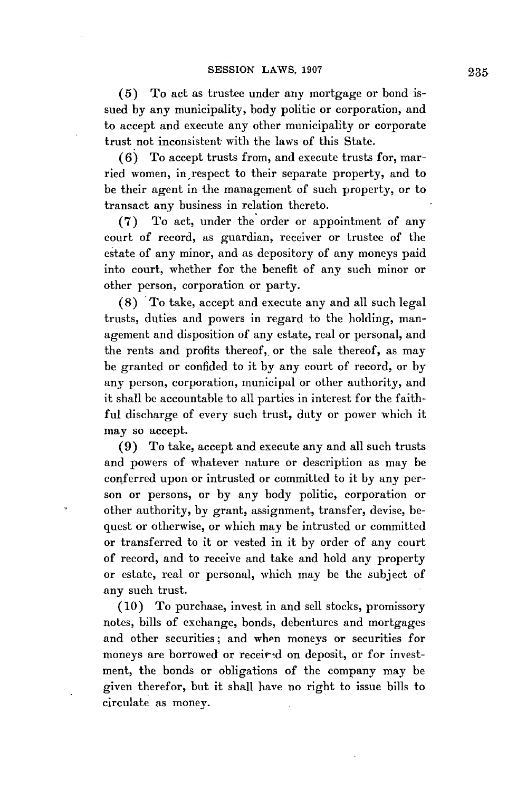**(5)** To act as trustee under any mortgage or bond issued **by** any municipality, body politic or corporation, and to accept and execute any other municipality or corporate trust not inconsistent with the laws of this State.

**(6)** To accept trusts from, and execute trusts for, married women, in respect to their separate property, and to be their agent in the management of such property, or to transact any business in relation thereto.

(7) To act, under the order or appointment of any court of record, as guardian, receiver or trustee of the estate of any minor, and as depository of any moneys paid into court, whether for the benefit of any such minor or other person, corporation or party.

**(8)** To take, accept and execute any and all such legal trusts, duties and powers in regard to the holding, management and disposition of any estate, real or personal, and the rents and profits thereof, or the sale thereof, as may be granted or confided to it **by** any court of record, or **by** any person, corporation, municipal or other authority, and it shall be accountable to all parties in interest for the faithful discharge of every such trust, duty or power which it may so accept.

**(9)** To take, accept and execute any and all such trusts and powers of whatever nature or description as may be conferred upon or intrusted or committed to it **by** any person or persons, or **by** any body politic, corporation or other authority, **by** grant, assignment, transfer, devise, bequest or otherwise, or which may be intrusted or committed or transferred to it or vested in it **by** order of any court of record, and to receive and take and hold any property or estate, real or personal, which may be the subject of any such trust.

**(10)** To purchase, invest in and sell stocks, promissory notes, bills of exchange, bonds, debentures and mortgages and other securities; and when moneys or securities for moneys are borrowed or receired on deposit, or for investment, the bonds or obligations of the company may be given therefor, but it shall have no right to issue bills to circulate as money.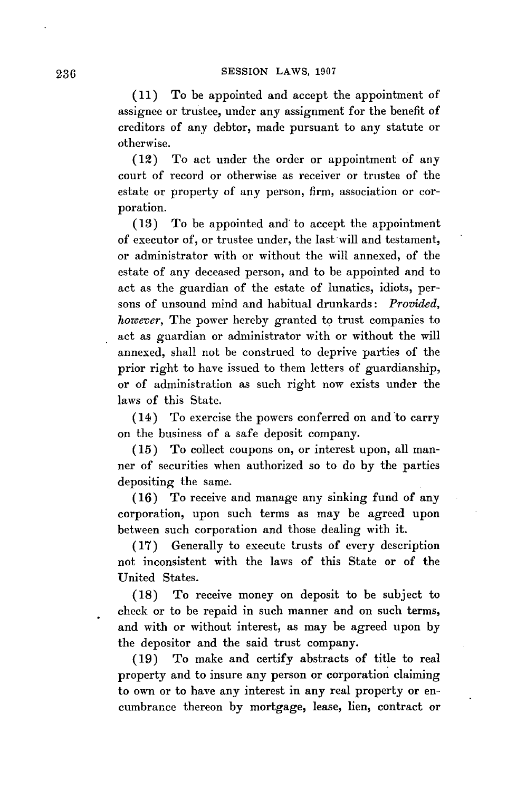**(11)** To be appointed and accept the appointment of assignee or trustee, under any assignment for the benefit of creditors of any debtor, made pursuant to any statute or otherwise.

(12) To act under the order or appointment of any court of record or otherwise as receiver or trustee of the estate or property of any person, firm, association or corporation.

**(13)** To be appointed and to accept the appointment of executor of, or trustee under, the last will and testament, or administrator with or without the will annexed, of the estate of any deceased person, and to be appointed and to act as the guardian of the estate of lunatics, idiots, persons of unsound mind and habitual drunkards: *Provided, however,* The power hereby granted to trust companies to act as guardian or administrator with or without the will annexed, shall not be construed to deprive parties of the prior right to have issued to them letters of guardianship, or of administration as such right now exists under the laws of this State.

(14) To exercise the powers conferred on and to carry on the business of a safe deposit company.

**(15)** To collect coupons on, or interest upon, all manner of securities when authorized so to do **by** the parties depositing the same.

**(16)** To receive and manage any sinking fund of any corporation, upon such terms as may be agreed upon between such corporation and those dealing with it.

**(17)** Generally to execute trusts of every description not inconsistent with the laws of this State or of the United States.

**(18)** To receive money on deposit to be subject to check or to be repaid in such manner and on such terms, and with or without interest, as may be agreed upon **by** the depositor and the said trust company.

**(19)** To make and certify abstracts of title to real property and to insure any person or corporation claiming to own or to have any interest in any real property or encumbrance thereon **by** mortgage, lease, lien, contract or